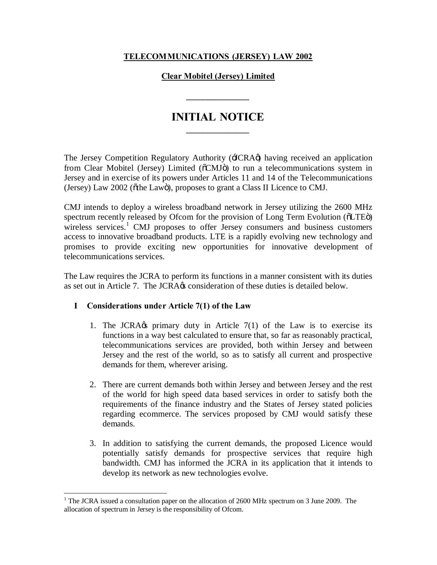### **TELECOMMUNICATIONS (JERSEY) LAW 2002**

#### **Clear Mobitel (Jersey) Limited**

**\_\_\_\_\_\_\_\_\_\_\_\_\_\_\_**

# **INITIAL NOTICE \_\_\_\_\_\_\_\_\_\_\_\_\_\_\_**

The Jersey Competition Regulatory Authority (JCRA $\phi$ ) having received an application from Clear Mobitel (Jersey) Limited ( $\delta$ CMJ $\ddot{o}$ ) to run a telecommunications system in Jersey and in exercise of its powers under Articles 11 and 14 of the Telecommunications (Jersey) Law 2002 ( $\delta$ the Lawö), proposes to grant a Class II Licence to CMJ.

CMJ intends to deploy a wireless broadband network in Jersey utilizing the 2600 MHz spectrum recently released by Ofcom for the provision of Long Term Evolution ( $\delta$ LTE $\ddot{\rm o}$ ) wireless services.<sup>1</sup> CMJ proposes to offer Jersey consumers and business customers access to innovative broadband products. LTE is a rapidly evolving new technology and promises to provide exciting new opportunities for innovative development of telecommunications services.

The Law requires the JCRA to perform its functions in a manner consistent with its duties as set out in Article 7. The JCRA $\alpha$  consideration of these duties is detailed below.

#### **I Considerations under Article 7(1) of the Law**

- 1. The JCRA $\&$  primary duty in Article 7(1) of the Law is to exercise its functions in a way best calculated to ensure that, so far as reasonably practical, telecommunications services are provided, both within Jersey and between Jersey and the rest of the world, so as to satisfy all current and prospective demands for them, wherever arising.
- 2. There are current demands both within Jersey and between Jersey and the rest of the world for high speed data based services in order to satisfy both the requirements of the finance industry and the States of Jersey stated policies regarding ecommerce. The services proposed by CMJ would satisfy these demands.
- 3. In addition to satisfying the current demands, the proposed Licence would potentially satisfy demands for prospective services that require high bandwidth. CMJ has informed the JCRA in its application that it intends to develop its network as new technologies evolve.

<sup>&</sup>lt;sup>1</sup> The JCRA issued a consultation paper on the allocation of 2600 MHz spectrum on 3 June 2009. The allocation of spectrum in Jersey is the responsibility of Ofcom.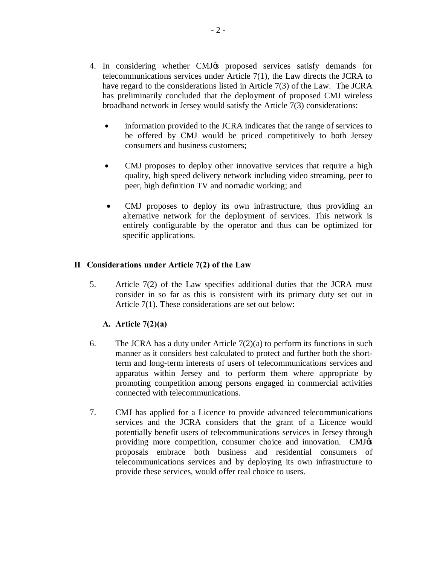- 4. In considering whether CMJ $\alpha$  proposed services satisfy demands for telecommunications services under Article 7(1), the Law directs the JCRA to have regard to the considerations listed in Article 7(3) of the Law. The JCRA has preliminarily concluded that the deployment of proposed CMJ wireless broadband network in Jersey would satisfy the Article 7(3) considerations:
	- information provided to the JCRA indicates that the range of services to be offered by CMJ would be priced competitively to both Jersey consumers and business customers;
	- CMJ proposes to deploy other innovative services that require a high quality, high speed delivery network including video streaming, peer to peer, high definition TV and nomadic working; and
	- · CMJ proposes to deploy its own infrastructure, thus providing an alternative network for the deployment of services. This network is entirely configurable by the operator and thus can be optimized for specific applications.

#### **II Considerations under Article 7(2) of the Law**

5. Article 7(2) of the Law specifies additional duties that the JCRA must consider in so far as this is consistent with its primary duty set out in Article 7(1). These considerations are set out below:

## **A. Article 7(2)(a)**

- 6. The JCRA has a duty under Article  $7(2)(a)$  to perform its functions in such manner as it considers best calculated to protect and further both the shortterm and long-term interests of users of telecommunications services and apparatus within Jersey and to perform them where appropriate by promoting competition among persons engaged in commercial activities connected with telecommunications.
- 7. CMJ has applied for a Licence to provide advanced telecommunications services and the JCRA considers that the grant of a Licence would potentially benefit users of telecommunications services in Jersey through providing more competition, consumer choice and innovation. CMJ $\alpha$ proposals embrace both business and residential consumers of telecommunications services and by deploying its own infrastructure to provide these services, would offer real choice to users.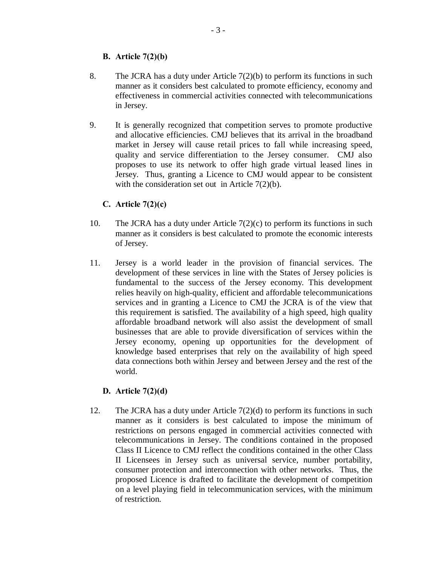## **B. Article 7(2)(b)**

- 8. The JCRA has a duty under Article  $7(2)(b)$  to perform its functions in such manner as it considers best calculated to promote efficiency, economy and effectiveness in commercial activities connected with telecommunications in Jersey.
- 9. It is generally recognized that competition serves to promote productive and allocative efficiencies. CMJ believes that its arrival in the broadband market in Jersey will cause retail prices to fall while increasing speed, quality and service differentiation to the Jersey consumer. CMJ also proposes to use its network to offer high grade virtual leased lines in Jersey. Thus, granting a Licence to CMJ would appear to be consistent with the consideration set out in Article 7(2)(b).

## **C. Article 7(2)(c)**

- 10. The JCRA has a duty under Article 7(2)(c) to perform its functions in such manner as it considers is best calculated to promote the economic interests of Jersey.
- 11. Jersey is a world leader in the provision of financial services. The development of these services in line with the States of Jersey policies is fundamental to the success of the Jersey economy. This development relies heavily on high-quality, efficient and affordable telecommunications services and in granting a Licence to CMJ the JCRA is of the view that this requirement is satisfied. The availability of a high speed, high quality affordable broadband network will also assist the development of small businesses that are able to provide diversification of services within the Jersey economy, opening up opportunities for the development of knowledge based enterprises that rely on the availability of high speed data connections both within Jersey and between Jersey and the rest of the world.

## **D. Article 7(2)(d)**

12. The JCRA has a duty under Article 7(2)(d) to perform its functions in such manner as it considers is best calculated to impose the minimum of restrictions on persons engaged in commercial activities connected with telecommunications in Jersey. The conditions contained in the proposed Class II Licence to CMJ reflect the conditions contained in the other Class II Licensees in Jersey such as universal service, number portability, consumer protection and interconnection with other networks. Thus, the proposed Licence is drafted to facilitate the development of competition on a level playing field in telecommunication services, with the minimum of restriction.